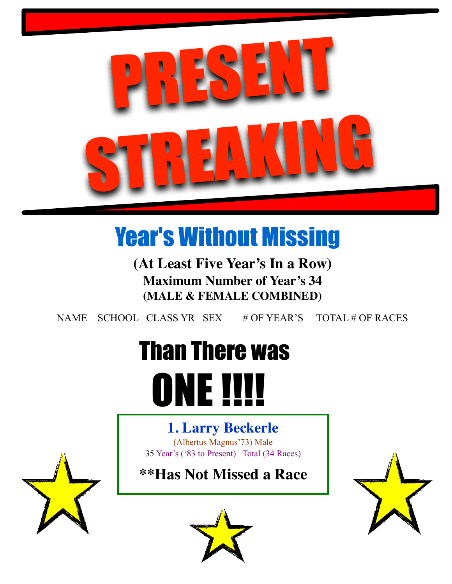

# Year's Without Missing

**(At Least Five Year's In a Row) Maximum Number of Year's 34 (MALE & FEMALE COMBINED)**

NAME SCHOOL CLASS YR SEX # OF YEAR'S TOTAL # OF RACES

# Than There was **ONE !!!!**

# **1. Larry Beckerle**

(Albertus Magnus'73) Male 35 Year's ('83 to Present) Total (34 Races)

**\*\*Has Not Missed a Race**







٦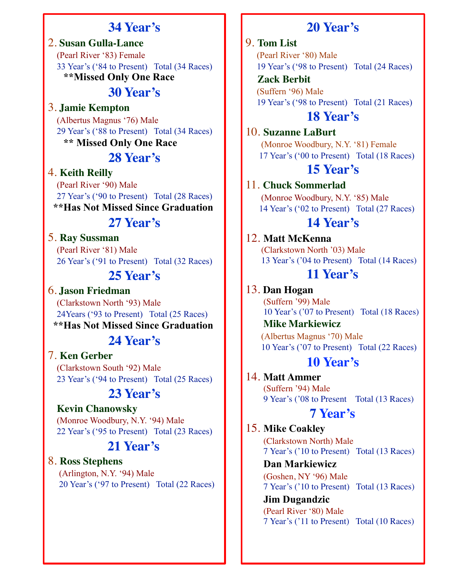# **34 Year's**

2. **Susan Gulla-Lance** (Pearl River '83) Female 33 Year's ('84 to Present) Total (34 Races) **\*\*Missed Only One Race** 

# **30 Year's**

3. **Jamie Kempton**

 (Albertus Magnus '76) Male 29 Year's ('88 to Present) Total (34 Races) **\*\* Missed Only One Race** 

# **28 Year's**

#### 4. **Keith Reilly**

 (Pearl River '90) Male 27 Year's ('90 to Present) Total (28 Races)  **\*\*Has Not Missed Since Graduation** 

# **27 Year's**

#### 5. **Ray Sussman**

 (Pearl River '81) Male 26 Year's ('91 to Present) Total (32 Races)

# **25 Year's**

6. **Jason Friedman** (Clarkstown North '93) Male 24Years ('93 to Present) Total (25 Races)  **\*\*Has Not Missed Since Graduation** 

# **24 Year's**

#### 7. **Ken Gerber**

 (Clarkstown South '92) Male 23 Year's ('94 to Present) Total (25 Races)

# **23 Year's**

#### **Kevin Chanowsky**

 (Monroe Woodbury, N.Y. '94) Male 22 Year's ('95 to Present) Total (23 Races)

# **21 Year's**

8. **Ross Stephens** (Arlington, N.Y. '94) Male 20 Year's ('97 to Present) Total (22 Races)

# **20 Year's**

#### 9. **Tom List**

 (Pearl River '80) Male 19 Year's ('98 to Present) Total (24 Races)

 **Zack Berbit**  (Suffern '96) Male 19 Year's ('98 to Present) Total (21 Races)

# **18 Year's**

10. **Suzanne LaBurt**

 (Monroe Woodbury, N.Y. '81) Female 17 Year's ('00 to Present) Total (18 Races)

# **15 Year's**

#### 11. **Chuck Sommerlad**

 (Monroe Woodbury, N.Y. '85) Male 14 Year's ('02 to Present) Total (27 Races)

### **14 Year's**

#### 12. **Matt McKenna**

 (Clarkstown North '03) Male 13 Year's ('04 to Present) Total (14 Races)

# **11 Year's**

13. **Dan Hogan** (Suffern '99) Male 10 Year's ('07 to Present) Total (18 Races)

 **Mike Markiewicz** (Albertus Magnus '70) Male 10 Year's ('07 to Present) Total (22 Races)

#### **10 Year's**

14. **Matt Ammer**  (Suffern '94) Male 9 Year's ('08 to Present Total (13 Races)

### **7 Year's**

# 15. **Mike Coakley**

(Clarkstown North) Male 7 Year's ('10 to Present) Total (13 Races)

**Dan Markiewicz** 

(Goshen, NY '96) Male 7 Year's ('10 to Present) Total (13 Races)

 **Jim Dugandzic** (Pearl River '80) Male 7 Year's ('11 to Present) Total (10 Races)